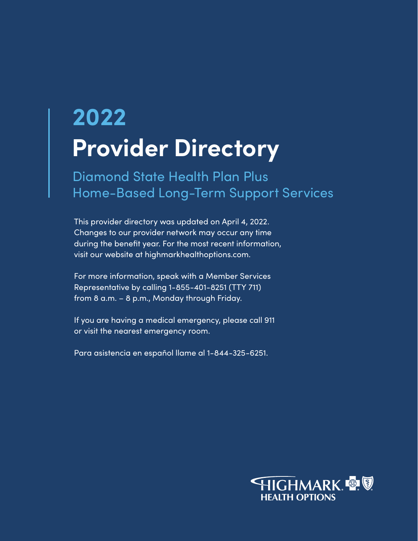# **Provider Directory 2022**

Diamond State Health Plan Plus Home-Based Long-Term Support Services

This provider directory was updated on April 4, 2022. Changes to our provider network may occur any time during the benefit year. For the most recent information, visit our website at highmarkhealthoptions.com.

For more information, speak with a Member Services Representative by calling 1-855-401-8251 (TTY 711) from 8 a.m. – 8 p.m., Monday through Friday.

If you are having a medical emergency, please call 911 or visit the nearest emergency room.

Para asistencia en español llame al 1-844-325-6251.

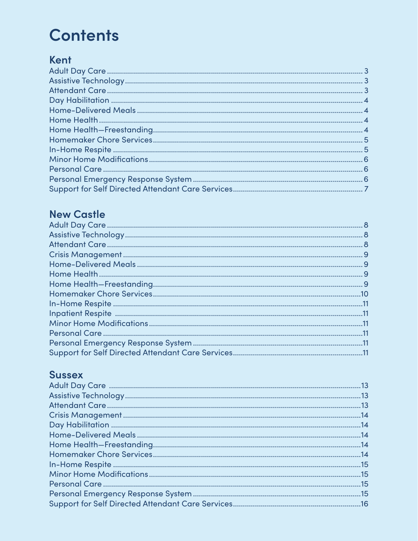## **Contents**

## Kent

## **New Castle**

## **Sussex**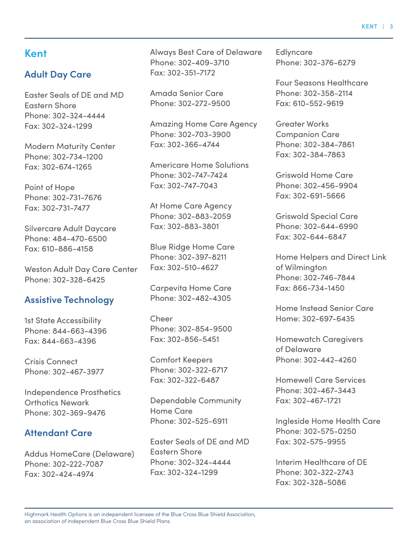**KENT | 3**

#### **Kent**

#### **Adult Day Care**

Easter Seals of DE and MD Eastern Shore Phone: 302-324-4444 Fax: 302-324-1299

Modern Maturity Center Phone: 302-734-1200 Fax: 302-674-1265

Point of Hope Phone: 302-731-7676 Fax: 302-731-7477

Silvercare Adult Daycare Phone: 484-470-6500 Fax: 610-886-4158

Weston Adult Day Care Center Phone: 302-328-6425

#### **Assistive Technology**

1st State Accessibility Phone: 844-663-4396 Fax: 844-663-4396

Crisis Connect Phone: 302-467-3977

Independence Prosthetics Orthotics Newark Phone: 302-369-9476

#### **Attendant Care**

Addus HomeCare (Delaware) Phone: 302-222-7087 Fax: 302-424-4974

Always Best Care of Delaware Phone: 302-409-3710 Fax: 302-351-7172

Amada Senior Care Phone: 302-272-9500

Amazing Home Care Agency Phone: 302-703-3900 Fax: 302-366-4744

Americare Home Solutions Phone: 302-747-7424 Fax: 302-747-7043

At Home Care Agency Phone: 302-883-2059 Fax: 302-883-3801

Blue Ridge Home Care Phone: 302-397-8211 Fax: 302-510-4627

Carpevita Home Care Phone: 302-482-4305

Cheer Phone: 302-854-9500 Fax: 302-856-5451

Comfort Keepers Phone: 302-322-6717 Fax: 302-322-6487

Dependable Community Home Care Phone: 302-525-6911

Easter Seals of DE and MD Eastern Shore Phone: 302-324-4444 Fax: 302-324-1299

Edlyncare Phone: 302-376-6279

Four Seasons Healthcare Phone: 302-358-2114 Fax: 610-552-9619

Greater Works Companion Care Phone: 302-384-7861 Fax: 302-384-7863

Griswold Home Care Phone: 302-456-9904 Fax: 302-691-5666

Griswold Special Care Phone: 302-644-6990 Fax: 302-644-6847

Home Helpers and Direct Link of Wilmington Phone: 302-746-7844 Fax: 866-734-1450

Home Instead Senior Care Home: 302-697-6435

Homewatch Caregivers of Delaware Phone: 302-442-4260

Homewell Care Services Phone: 302-467-3443 Fax: 302-467-1721

Ingleside Home Health Care Phone: 302-575-0250 Fax: 302-575-9955

Interim Healthcare of DE Phone: 302-322-2743 Fax: 302-328-5086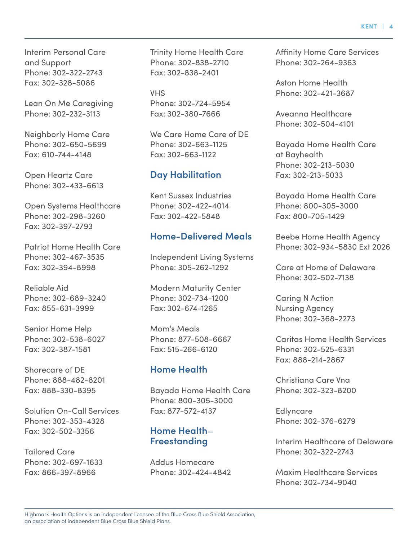Interim Personal Care and Support Phone: 302-322-2743 Fax: 302-328-5086

Lean On Me Caregiving Phone: 302-232-3113

Neighborly Home Care Phone: 302-650-5699 Fax: 610-744-4148

Open Heartz Care Phone: 302-433-6613

Open Systems Healthcare Phone: 302-298-3260 Fax: 302-397-2793

Patriot Home Health Care Phone: 302-467-3535 Fax: 302-394-8998

Reliable Aid Phone: 302-689-3240 Fax: 855-631-3999

Senior Home Help Phone: 302-538-6027 Fax: 302-387-1581

Shorecare of DE Phone: 888-482-8201 Fax: 888-330-8395

Solution On-Call Services Phone: 302-353-4328 Fax: 302-502-3356

Tailored Care Phone: 302-697-1633 Fax: 866-397-8966

Trinity Home Health Care Phone: 302-838-2710 Fax: 302-838-2401

VHS Phone: 302-724-5954 Fax: 302-380-7666

We Care Home Care of DE Phone: 302-663-1125 Fax: 302-663-1122

#### **Day Habilitation**

Kent Sussex Industries Phone: 302-422-4014 Fax: 302-422-5848

#### **Home-Delivered Meals**

Independent Living Systems Phone: 305-262-1292

Modern Maturity Center Phone: 302-734-1200 Fax: 302-674-1265

Mom's Meals Phone: 877-508-6667 Fax: 515-266-6120

#### **Home Health**

Bayada Home Health Care Phone: 800-305-3000 Fax: 877-572-4137

#### **Home Health**— **Freestanding**

Addus Homecare Phone: 302-424-4842 Affinity Home Care Services Phone: 302-264-9363

Aston Home Health Phone: 302-421-3687

Aveanna Healthcare Phone: 302-504-4101

Bayada Home Health Care at Bayhealth Phone: 302-213-5030 Fax: 302-213-5033

Bayada Home Health Care Phone: 800-305-3000 Fax: 800-705-1429

Beebe Home Health Agency Phone: 302-934-5830 Ext 2026

Care at Home of Delaware Phone: 302-502-7138

Caring N Action Nursing Agency Phone: 302-368-2273

Caritas Home Health Services Phone: 302-525-6331 Fax: 888-214-2867

Christiana Care Vna Phone: 302-323-8200

Edlyncare Phone: 302-376-6279

Interim Healthcare of Delaware Phone: 302-322-2743

Maxim Healthcare Services Phone: 302-734-9040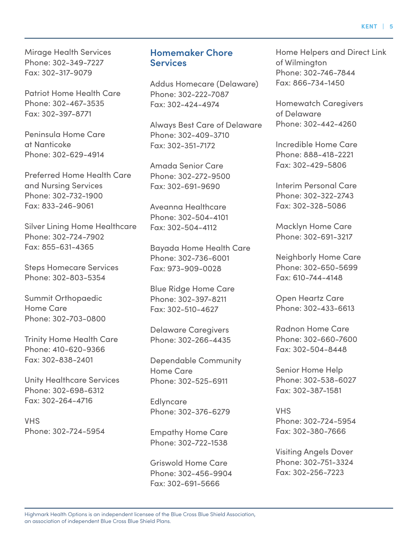Mirage Health Services Phone: 302-349-7227 Fax: 302-317-9079

Patriot Home Health Care Phone: 302-467-3535 Fax: 302-397-8771

Peninsula Home Care at Nanticoke Phone: 302-629-4914

Preferred Home Health Care and Nursing Services Phone: 302-732-1900 Fax: 833-246-9061

Silver Lining Home Healthcare Phone: 302-724-7902 Fax: 855-631-4365

Steps Homecare Services Phone: 302-803-5354

Summit Orthopaedic Home Care Phone: 302-703-0800

Trinity Home Health Care Phone: 410-620-9366 Fax: 302-838-2401

Unity Healthcare Services Phone: 302-698-6312 Fax: 302-264-4716

VHS Phone: 302-724-5954

#### **Homemaker Chore Services**

Addus Homecare (Delaware) Phone: 302-222-7087 Fax: 302-424-4974

Always Best Care of Delaware Phone: 302-409-3710 Fax: 302-351-7172

Amada Senior Care Phone: 302-272-9500 Fax: 302-691-9690

Aveanna Healthcare Phone: 302-504-4101 Fax: 302-504-4112

Bayada Home Health Care Phone: 302-736-6001 Fax: 973-909-0028

Blue Ridge Home Care Phone: 302-397-8211 Fax: 302-510-4627

Delaware Caregivers Phone: 302-266-4435

Dependable Community Home Care Phone: 302-525-6911

**Edlyncare** Phone: 302-376-6279

Empathy Home Care Phone: 302-722-1538

Griswold Home Care Phone: 302-456-9904 Fax: 302-691-5666

Home Helpers and Direct Link of Wilmington Phone: 302-746-7844 Fax: 866-734-1450

Homewatch Caregivers of Delaware Phone: 302-442-4260

Incredible Home Care Phone: 888-418-2221 Fax: 302-429-5806

Interim Personal Care Phone: 302-322-2743 Fax: 302-328-5086

Macklyn Home Care Phone: 302-691-3217

Neighborly Home Care Phone: 302-650-5699 Fax: 610-744-4148

Open Heartz Care Phone: 302-433-6613

Radnon Home Care Phone: 302-660-7600 Fax: 302-504-8448

Senior Home Help Phone: 302-538-6027 Fax: 302-387-1581

VHS Phone: 302-724-5954 Fax: 302-380-7666

Visiting Angels Dover Phone: 302-751-3324 Fax: 302-256-7223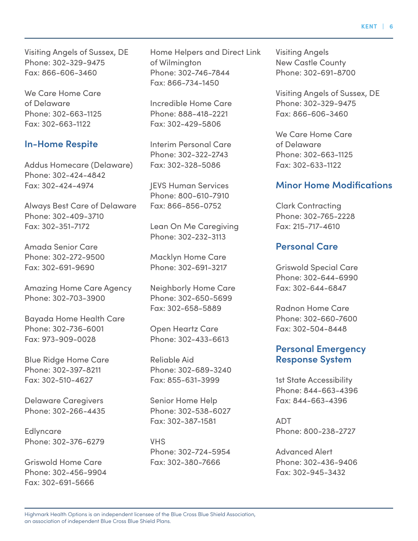Visiting Angels of Sussex, DE Phone: 302-329-9475 Fax: 866-606-3460

We Care Home Care of Delaware Phone: 302-663-1125 Fax: 302-663-1122

#### **In-Home Respite**

Addus Homecare (Delaware) Phone: 302-424-4842 Fax: 302-424-4974

Always Best Care of Delaware Phone: 302-409-3710 Fax: 302-351-7172

Amada Senior Care Phone: 302-272-9500 Fax: 302-691-9690

Amazing Home Care Agency Phone: 302-703-3900

Bayada Home Health Care Phone: 302-736-6001 Fax: 973-909-0028

Blue Ridge Home Care Phone: 302-397-8211 Fax: 302-510-4627

Delaware Caregivers Phone: 302-266-4435

Edlyncare Phone: 302-376-6279

Griswold Home Care Phone: 302-456-9904 Fax: 302-691-5666

Home Helpers and Direct Link of Wilmington Phone: 302-746-7844 Fax: 866-734-1450

Incredible Home Care Phone: 888-418-2221 Fax: 302-429-5806

Interim Personal Care Phone: 302-322-2743 Fax: 302-328-5086

JEVS Human Services Phone: 800-610-7910 Fax: 866-856-0752

Lean On Me Caregiving Phone: 302-232-3113

Macklyn Home Care Phone: 302-691-3217

Neighborly Home Care Phone: 302-650-5699 Fax: 302-658-5889

Open Heartz Care Phone: 302-433-6613

Reliable Aid Phone: 302-689-3240 Fax: 855-631-3999

Senior Home Help Phone: 302-538-6027 Fax: 302-387-1581

VHS Phone: 302-724-5954 Fax: 302-380-7666

Visiting Angels New Castle County Phone: 302-691-8700

Visiting Angels of Sussex, DE Phone: 302-329-9475 Fax: 866-606-3460

We Care Home Care of Delaware Phone: 302-663-1125 Fax: 302-633-1122

#### **Minor Home Modifications**

Clark Contracting Phone: 302-765-2228 Fax: 215-717-4610

#### **Personal Care**

Griswold Special Care Phone: 302-644-6990 Fax: 302-644-6847

Radnon Home Care Phone: 302-660-7600 Fax: 302-504-8448

#### **Personal Emergency Response System**

1st State Accessibility Phone: 844-663-4396 Fax: 844-663-4396

ADT Phone: 800-238-2727

Advanced Alert Phone: 302-436-9406 Fax: 302-945-3432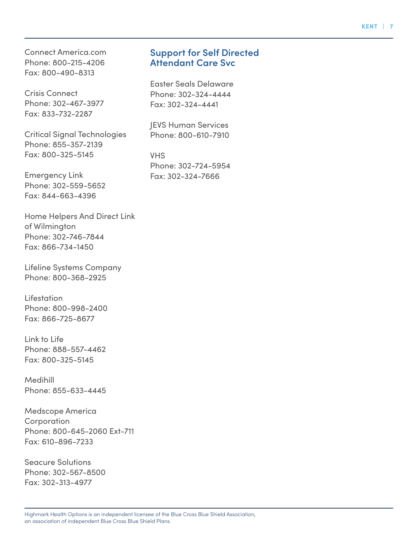Connect America.com Phone: 800-215-4206 Fax: 800-490-8313

Crisis Connect Phone: 302-467-3977 Fax: 833-732-2287

Critical Signal Technologies Phone: 855-357-2139 Fax: 800-325-5145

Emergency Link Phone: 302-559-5652 Fax: 844-663-4396

Home Helpers And Direct Link of Wilmington Phone: 302-746-7844 Fax: 866-734-1450

Lifeline Systems Company Phone: 800-368-2925

**Lifestation** Phone: 800-998-2400 Fax: 866-725-8677

Link to Life Phone: 888-557-4462 Fax: 800-325-5145

Medihill Phone: 855-633-4445

Medscope America **Corporation** Phone: 800-645-2060 Ext-711 Fax: 610-896-7233

Seacure Solutions Phone: 302-567-8500 Fax: 302-313-4977

#### **Support for Self Directed Attendant Care Svc**

Easter Seals Delaware Phone: 302-324-4444 Fax: 302-324-4441

JEVS Human Services Phone: 800-610-7910

VHS Phone: 302-724-5954 Fax: 302-324-7666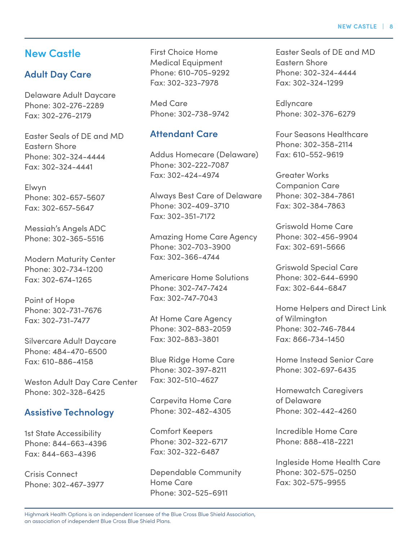#### **New Castle**

#### **Adult Day Care**

Delaware Adult Daycare Phone: 302-276-2289 Fax: 302-276-2179

Easter Seals of DE and MD Eastern Shore Phone: 302-324-4444 Fax: 302-324-4441

Elwyn Phone: 302-657-5607 Fax: 302-657-5647

Messiah's Angels ADC Phone: 302-365-5516

Modern Maturity Center Phone: 302-734-1200 Fax: 302-674-1265

Point of Hope Phone: 302-731-7676 Fax: 302-731-7477

Silvercare Adult Daycare Phone: 484-470-6500 Fax: 610-886-4158

Weston Adult Day Care Center Phone: 302-328-6425

#### **Assistive Technology**

1st State Accessibility Phone: 844-663-4396 Fax: 844-663-4396

Crisis Connect Phone: 302-467-3977 First Choice Home Medical Equipment Phone: 610-705-9292 Fax: 302-323-7978

Med Care Phone: 302-738-9742

#### **Attendant Care**

Addus Homecare (Delaware) Phone: 302-222-7087 Fax: 302-424-4974

Always Best Care of Delaware Phone: 302-409-3710 Fax: 302-351-7172

Amazing Home Care Agency Phone: 302-703-3900 Fax: 302-366-4744

Americare Home Solutions Phone: 302-747-7424 Fax: 302-747-7043

At Home Care Agency Phone: 302-883-2059 Fax: 302-883-3801

Blue Ridge Home Care Phone: 302-397-8211 Fax: 302-510-4627

Carpevita Home Care Phone: 302-482-4305

Comfort Keepers Phone: 302-322-6717 Fax: 302-322-6487

Dependable Community Home Care Phone: 302-525-6911

Easter Seals of DE and MD Eastern Shore Phone: 302-324-4444 Fax: 302-324-1299

Edlyncare Phone: 302-376-6279

Four Seasons Healthcare Phone: 302-358-2114 Fax: 610-552-9619

Greater Works Companion Care Phone: 302-384-7861 Fax: 302-384-7863

Griswold Home Care Phone: 302-456-9904 Fax: 302-691-5666

Griswold Special Care Phone: 302-644-6990 Fax: 302-644-6847

Home Helpers and Direct Link of Wilmington Phone: 302-746-7844 Fax: 866-734-1450

Home Instead Senior Care Phone: 302-697-6435

Homewatch Caregivers of Delaware Phone: 302-442-4260

Incredible Home Care Phone: 888-418-2221

Ingleside Home Health Care Phone: 302-575-0250 Fax: 302-575-9955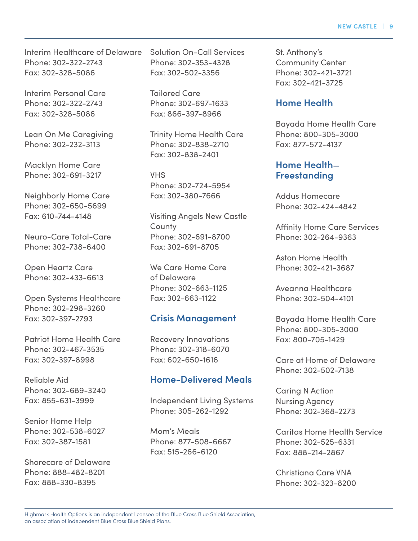Interim Healthcare of Delaware Phone: 302-322-2743 Fax: 302-328-5086

Interim Personal Care Phone: 302-322-2743 Fax: 302-328-5086

Lean On Me Caregiving Phone: 302-232-3113

Macklyn Home Care Phone: 302-691-3217

Neighborly Home Care Phone: 302-650-5699 Fax: 610-744-4148

Neuro-Care Total-Care Phone: 302-738-6400

Open Heartz Care Phone: 302-433-6613

Open Systems Healthcare Phone: 302-298-3260 Fax: 302-397-2793

Patriot Home Health Care Phone: 302-467-3535 Fax: 302-397-8998

Reliable Aid Phone: 302-689-3240 Fax: 855-631-3999

Senior Home Help Phone: 302-538-6027 Fax: 302-387-1581

Shorecare of Delaware Phone: 888-482-8201 Fax: 888-330-8395

Solution On-Call Services Phone: 302-353-4328 Fax: 302-502-3356

Tailored Care Phone: 302-697-1633 Fax: 866-397-8966

Trinity Home Health Care Phone: 302-838-2710 Fax: 302-838-2401

VHS Phone: 302-724-5954 Fax: 302-380-7666

Visiting Angels New Castle **County** Phone: 302-691-8700 Fax: 302-691-8705

We Care Home Care of Delaware Phone: 302-663-1125 Fax: 302-663-1122

#### **Crisis Management**

Recovery Innovations Phone: 302-318-6070 Fax: 602-650-1616

#### **Home-Delivered Meals**

Independent Living Systems Phone: 305-262-1292

Mom's Meals Phone: 877-508-6667 Fax: 515-266-6120

St. Anthony's Community Center Phone: 302-421-3721 Fax: 302-421-3725

#### **Home Health**

Bayada Home Health Care Phone: 800-305-3000 Fax: 877-572-4137

#### **Home Health**— **Freestanding**

Addus Homecare Phone: 302-424-4842

Affinity Home Care Services Phone: 302-264-9363

Aston Home Health Phone: 302-421-3687

Aveanna Healthcare Phone: 302-504-4101

Bayada Home Health Care Phone: 800-305-3000 Fax: 800-705-1429

Care at Home of Delaware Phone: 302-502-7138

Caring N Action Nursing Agency Phone: 302-368-2273

Caritas Home Health Service Phone: 302-525-6331 Fax: 888-214-2867

Christiana Care VNA Phone: 302-323-8200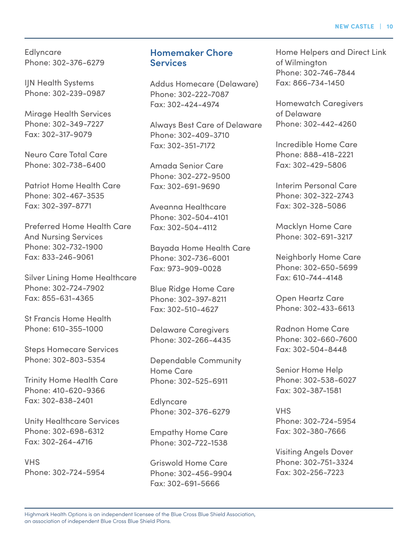Edlyncare Phone: 302-376-6279

IJN Health Systems Phone: 302-239-0987

Mirage Health Services Phone: 302-349-7227 Fax: 302-317-9079

Neuro Care Total Care Phone: 302-738-6400

Patriot Home Health Care Phone: 302-467-3535 Fax: 302-397-8771

Preferred Home Health Care And Nursing Services Phone: 302-732-1900 Fax: 833-246-9061

Silver Lining Home Healthcare Phone: 302-724-7902 Fax: 855-631-4365

St Francis Home Health Phone: 610-355-1000

Steps Homecare Services Phone: 302-803-5354

Trinity Home Health Care Phone: 410-620-9366 Fax: 302-838-2401

Unity Healthcare Services Phone: 302-698-6312 Fax: 302-264-4716

VHS Phone: 302-724-5954

#### **Homemaker Chore Services**

Addus Homecare (Delaware) Phone: 302-222-7087 Fax: 302-424-4974

Always Best Care of Delaware Phone: 302-409-3710 Fax: 302-351-7172

Amada Senior Care Phone: 302-272-9500 Fax: 302-691-9690

Aveanna Healthcare Phone: 302-504-4101 Fax: 302-504-4112

Bayada Home Health Care Phone: 302-736-6001 Fax: 973-909-0028

Blue Ridge Home Care Phone: 302-397-8211 Fax: 302-510-4627

Delaware Caregivers Phone: 302-266-4435

Dependable Community Home Care Phone: 302-525-6911

**Edlyncare** Phone: 302-376-6279

Empathy Home Care Phone: 302-722-1538

Griswold Home Care Phone: 302-456-9904 Fax: 302-691-5666

Home Helpers and Direct Link of Wilmington Phone: 302-746-7844 Fax: 866-734-1450

Homewatch Caregivers of Delaware Phone: 302-442-4260

Incredible Home Care Phone: 888-418-2221 Fax: 302-429-5806

Interim Personal Care Phone: 302-322-2743 Fax: 302-328-5086

Macklyn Home Care Phone: 302-691-3217

Neighborly Home Care Phone: 302-650-5699 Fax: 610-744-4148

Open Heartz Care Phone: 302-433-6613

Radnon Home Care Phone: 302-660-7600 Fax: 302-504-8448

Senior Home Help Phone: 302-538-6027 Fax: 302-387-1581

VHS Phone: 302-724-5954 Fax: 302-380-7666

Visiting Angels Dover Phone: 302-751-3324 Fax: 302-256-7223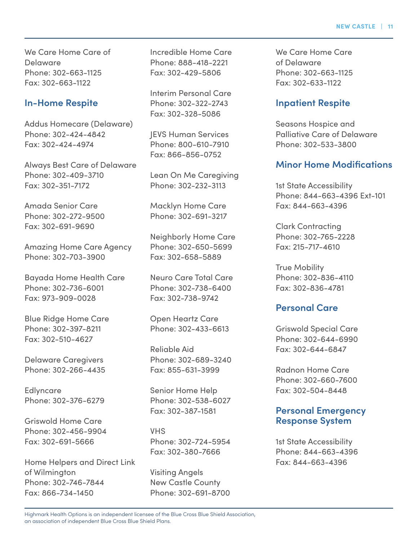We Care Home Care of Delaware Phone: 302-663-1125 Fax: 302-663-1122

#### **In-Home Respite**

Addus Homecare (Delaware) Phone: 302-424-4842 Fax: 302-424-4974

Always Best Care of Delaware Phone: 302-409-3710 Fax: 302-351-7172

Amada Senior Care Phone: 302-272-9500 Fax: 302-691-9690

Amazing Home Care Agency Phone: 302-703-3900

Bayada Home Health Care Phone: 302-736-6001 Fax: 973-909-0028

Blue Ridge Home Care Phone: 302-397-8211 Fax: 302-510-4627

Delaware Caregivers Phone: 302-266-4435

**Edlyncare** Phone: 302-376-6279

Griswold Home Care Phone: 302-456-9904 Fax: 302-691-5666

Home Helpers and Direct Link of Wilmington Phone: 302-746-7844 Fax: 866-734-1450

Incredible Home Care Phone: 888-418-2221 Fax: 302-429-5806

Interim Personal Care Phone: 302-322-2743 Fax: 302-328-5086

JEVS Human Services Phone: 800-610-7910 Fax: 866-856-0752

Lean On Me Caregiving Phone: 302-232-3113

Macklyn Home Care Phone: 302-691-3217

Neighborly Home Care Phone: 302-650-5699 Fax: 302-658-5889

Neuro Care Total Care Phone: 302-738-6400 Fax: 302-738-9742

Open Heartz Care Phone: 302-433-6613

Reliable Aid Phone: 302-689-3240 Fax: 855-631-3999

Senior Home Help Phone: 302-538-6027 Fax: 302-387-1581

VHS Phone: 302-724-5954 Fax: 302-380-7666

Visiting Angels New Castle County Phone: 302-691-8700 We Care Home Care of Delaware Phone: 302-663-1125 Fax: 302-633-1122

#### **Inpatient Respite**

Seasons Hospice and Palliative Care of Delaware Phone: 302-533-3800

#### **Minor Home Modifications**

1st State Accessibility Phone: 844-663-4396 Ext-101 Fax: 844-663-4396

Clark Contracting Phone: 302-765-2228 Fax: 215-717-4610

True Mobility Phone: 302-836-4110 Fax: 302-836-4781

#### **Personal Care**

Griswold Special Care Phone: 302-644-6990 Fax: 302-644-6847

Radnon Home Care Phone: 302-660-7600 Fax: 302-504-8448

#### **Personal Emergency Response System**

1st State Accessibility Phone: 844-663-4396 Fax: 844-663-4396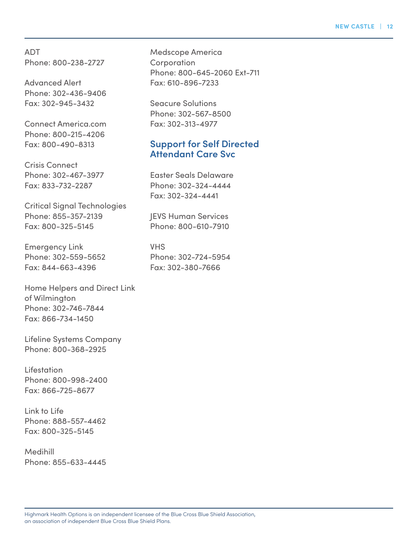ADT Phone: 800-238-2727

Advanced Alert Phone: 302-436-9406 Fax: 302-945-3432

Connect America.com Phone: 800-215-4206 Fax: 800-490-8313

Crisis Connect Phone: 302-467-3977 Fax: 833-732-2287

Critical Signal Technologies Phone: 855-357-2139 Fax: 800-325-5145

Emergency Link Phone: 302-559-5652 Fax: 844-663-4396

Home Helpers and Direct Link of Wilmington Phone: 302-746-7844 Fax: 866-734-1450

Lifeline Systems Company Phone: 800-368-2925

Lifestation Phone: 800-998-2400 Fax: 866-725-8677

Link to Life Phone: 888-557-4462 Fax: 800-325-5145

Medihill Phone: 855-633-4445 Medscope America **Corporation** Phone: 800-645-2060 Ext-711 Fax: 610-896-7233

Seacure Solutions Phone: 302-567-8500 Fax: 302-313-4977

#### **Support for Self Directed Attendant Care Svc**

Easter Seals Delaware Phone: 302-324-4444 Fax: 302-324-4441

JEVS Human Services Phone: 800-610-7910

VHS Phone: 302-724-5954 Fax: 302-380-7666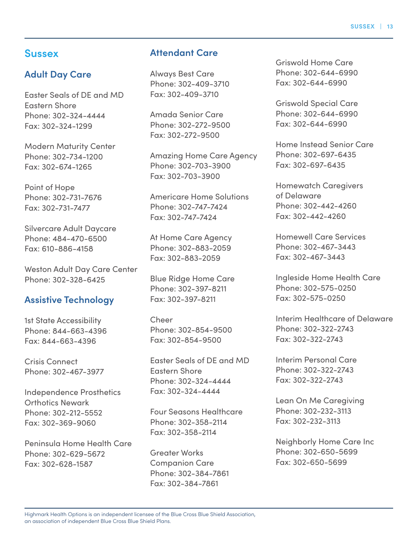#### Highmark Health Options is an independent licensee of the Blue Cross Blue Shield Association, an association of independent Blue Cross Blue Shield Plans.

### **Sussex**

## **Adult Day Care**

Easter Seals of DE and MD Eastern Shore Phone: 302-324-4444 Fax: 302-324-1299

Modern Maturity Center Phone: 302-734-1200 Fax: 302-674-1265

Point of Hope Phone: 302-731-7676 Fax: 302-731-7477

Silvercare Adult Daycare Phone: 484-470-6500 Fax: 610-886-4158

Weston Adult Day Care Center Phone: 302-328-6425

## **Assistive Technology**

1st State Accessibility Phone: 844-663-4396 Fax: 844-663-4396

Crisis Connect Phone: 302-467-3977

Independence Prosthetics Orthotics Newark Phone: 302-212-5552 Fax: 302-369-9060

Peninsula Home Health Care Phone: 302-629-5672 Fax: 302-628-1587

## **Attendant Care**

Always Best Care Phone: 302-409-3710 Fax: 302-409-3710

Amada Senior Care Phone: 302-272-9500 Fax: 302-272-9500

Amazing Home Care Agency Phone: 302-703-3900 Fax: 302-703-3900

Americare Home Solutions Phone: 302-747-7424 Fax: 302-747-7424

At Home Care Agency Phone: 302-883-2059 Fax: 302-883-2059

Blue Ridge Home Care Phone: 302-397-8211 Fax: 302-397-8211

Cheer Phone: 302-854-9500 Fax: 302-854-9500

Easter Seals of DE and MD Eastern Shore Phone: 302-324-4444 Fax: 302-324-4444

Four Seasons Healthcare Phone: 302-358-2114 Fax: 302-358-2114

Greater Works Companion Care Phone: 302-384-7861 Fax: 302-384-7861

Griswold Home Care Phone: 302-644-6990 Fax: 302-644-6990

Griswold Special Care Phone: 302-644-6990 Fax: 302-644-6990

Home Instead Senior Care Phone: 302-697-6435 Fax: 302-697-6435

Homewatch Caregivers of Delaware Phone: 302-442-4260 Fax: 302-442-4260

Homewell Care Services Phone: 302-467-3443 Fax: 302-467-3443

Ingleside Home Health Care Phone: 302-575-0250 Fax: 302-575-0250

Interim Healthcare of Delaware Phone: 302-322-2743 Fax: 302-322-2743

Interim Personal Care Phone: 302-322-2743 Fax: 302-322-2743

Lean On Me Caregiving Phone: 302-232-3113 Fax: 302-232-3113

Neighborly Home Care Inc Phone: 302-650-5699 Fax: 302-650-5699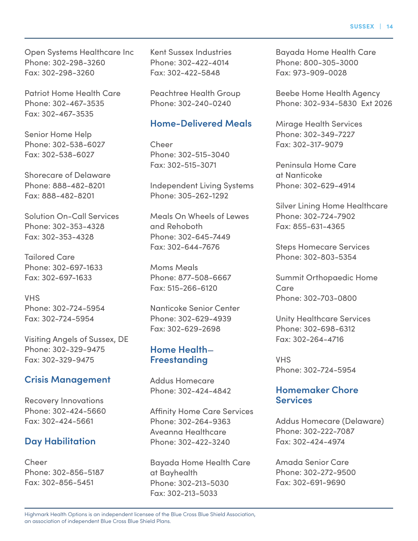Open Systems Healthcare Inc Phone: 302-298-3260 Fax: 302-298-3260

Patriot Home Health Care Phone: 302-467-3535 Fax: 302-467-3535

Senior Home Help Phone: 302-538-6027 Fax: 302-538-6027

Shorecare of Delaware Phone: 888-482-8201 Fax: 888-482-8201

Solution On-Call Services Phone: 302-353-4328 Fax: 302-353-4328

Tailored Care Phone: 302-697-1633 Fax: 302-697-1633

VHS Phone: 302-724-5954 Fax: 302-724-5954

Visiting Angels of Sussex, DE Phone: 302-329-9475 Fax: 302-329-9475

#### **Crisis Management**

Recovery Innovations Phone: 302-424-5660 Fax: 302-424-5661

#### **Day Habilitation**

Cheer Phone: 302-856-5187 Fax: 302-856-5451

Kent Sussex Industries Phone: 302-422-4014 Fax: 302-422-5848

Peachtree Health Group Phone: 302-240-0240

#### **Home-Delivered Meals**

Cheer Phone: 302-515-3040 Fax: 302-515-3071

Independent Living Systems Phone: 305-262-1292

Meals On Wheels of Lewes and Rehoboth Phone: 302-645-7449 Fax: 302-644-7676

Moms Meals Phone: 877-508-6667 Fax: 515-266-6120

Nanticoke Senior Center Phone: 302-629-4939 Fax: 302-629-2698

#### **Home Health**— **Freestanding**

Addus Homecare Phone: 302-424-4842

Affinity Home Care Services Phone: 302-264-9363 Aveanna Healthcare Phone: 302-422-3240

Bayada Home Health Care at Bayhealth Phone: 302-213-5030 Fax: 302-213-5033

Bayada Home Health Care Phone: 800-305-3000 Fax: 973-909-0028

Beebe Home Health Agency Phone: 302-934-5830 Ext 2026

Mirage Health Services Phone: 302-349-7227 Fax: 302-317-9079

Peninsula Home Care at Nanticoke Phone: 302-629-4914

Silver Lining Home Healthcare Phone: 302-724-7902 Fax: 855-631-4365

Steps Homecare Services Phone: 302-803-5354

Summit Orthopaedic Home Care Phone: 302-703-0800

Unity Healthcare Services Phone: 302-698-6312 Fax: 302-264-4716

VHS Phone: 302-724-5954

#### **Homemaker Chore Services**

Addus Homecare (Delaware) Phone: 302-222-7087 Fax: 302-424-4974

Amada Senior Care Phone: 302-272-9500 Fax: 302-691-9690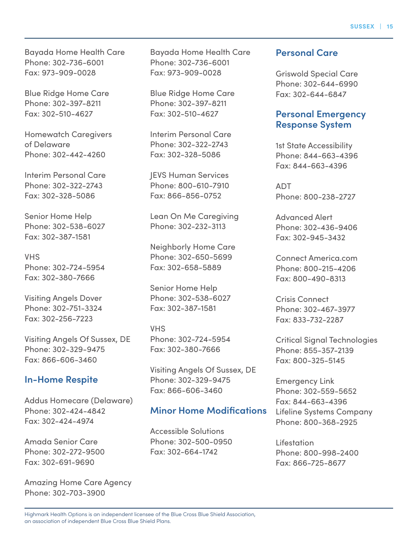Bayada Home Health Care Phone: 302-736-6001 Fax: 973-909-0028

Blue Ridge Home Care Phone: 302-397-8211 Fax: 302-510-4627

Homewatch Caregivers of Delaware Phone: 302-442-4260

Interim Personal Care Phone: 302-322-2743 Fax: 302-328-5086

Senior Home Help Phone: 302-538-6027 Fax: 302-387-1581

VHS Phone: 302-724-5954 Fax: 302-380-7666

Visiting Angels Dover Phone: 302-751-3324 Fax: 302-256-7223

Visiting Angels Of Sussex, DE Phone: 302-329-9475 Fax: 866-606-3460

#### **In-Home Respite**

Addus Homecare (Delaware) Phone: 302-424-4842 Fax: 302-424-4974

Amada Senior Care Phone: 302-272-9500 Fax: 302-691-9690

Amazing Home Care Agency Phone: 302-703-3900

Bayada Home Health Care Phone: 302-736-6001 Fax: 973-909-0028

Blue Ridge Home Care Phone: 302-397-8211 Fax: 302-510-4627

Interim Personal Care Phone: 302-322-2743 Fax: 302-328-5086

JEVS Human Services Phone: 800-610-7910 Fax: 866-856-0752

Lean On Me Caregiving Phone: 302-232-3113

Neighborly Home Care Phone: 302-650-5699 Fax: 302-658-5889

Senior Home Help Phone: 302-538-6027 Fax: 302-387-1581

VHS Phone: 302-724-5954 Fax: 302-380-7666

Visiting Angels Of Sussex, DE Phone: 302-329-9475 Fax: 866-606-3460

#### **Minor Home Modifications**

Accessible Solutions Phone: 302-500-0950 Fax: 302-664-1742

#### **Personal Care**

Griswold Special Care Phone: 302-644-6990 Fax: 302-644-6847

#### **Personal Emergency Response System**

1st State Accessibility Phone: 844-663-4396 Fax: 844-663-4396

ADT Phone: 800-238-2727

Advanced Alert Phone: 302-436-9406 Fax: 302-945-3432

Connect America.com Phone: 800-215-4206 Fax: 800-490-8313

Crisis Connect Phone: 302-467-3977 Fax: 833-732-2287

Critical Signal Technologies Phone: 855-357-2139 Fax: 800-325-5145

Emergency Link Phone: 302-559-5652 Fax: 844-663-4396 Lifeline Systems Company Phone: 800-368-2925

Lifestation Phone: 800-998-2400 Fax: 866-725-8677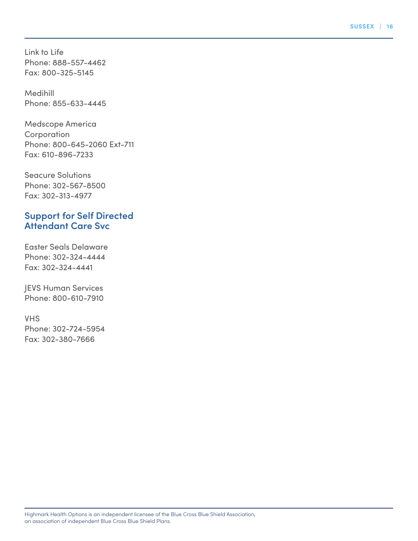Link to Life Phone: 888-557-4462 Fax: 800-325-5145

Medihill Phone: 855-633-4445

Medscope America **Corporation** Phone: 800-645-2060 Ext-711 Fax: 610-896-7233

Seacure Solutions Phone: 302-567-8500 Fax: 302-313-4977

#### **Support for Self Directed Attendant Care Svc**

Easter Seals Delaware Phone: 302-324-4444 Fax: 302-324-4441

JEVS Human Services Phone: 800-610-7910

VHS Phone: 302-724-5954 Fax: 302-380-7666